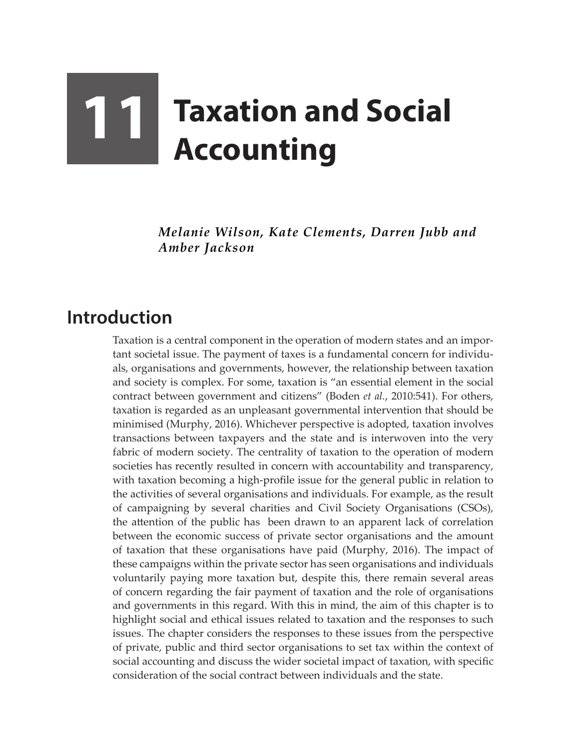## **11 Taxation and Social Accounting**

*Melanie Wilson, Kate Clements, Darren Jubb and Amber Jackson*

## **Introduction**

Taxation is a central component in the operation of modern states and an important societal issue. The payment of taxes is a fundamental concern for individuals, organisations and governments, however, the relationship between taxation and society is complex. For some, taxation is "an essential element in the social contract between government and citizens" (Boden *et al.*, 2010:541). For others, taxation is regarded as an unpleasant governmental intervention that should be minimised (Murphy, 2016). Whichever perspective is adopted, taxation involves transactions between taxpayers and the state and is interwoven into the very fabric of modern society. The centrality of taxation to the operation of modern societies has recently resulted in concern with accountability and transparency, with taxation becoming a high-profile issue for the general public in relation to the activities of several organisations and individuals. For example, as the result of campaigning by several charities and Civil Society Organisations (CSOs), the attention of the public has been drawn to an apparent lack of correlation between the economic success of private sector organisations and the amount of taxation that these organisations have paid (Murphy, 2016). The impact of these campaigns within the private sector has seen organisations and individuals voluntarily paying more taxation but, despite this, there remain several areas of concern regarding the fair payment of taxation and the role of organisations and governments in this regard. With this in mind, the aim of this chapter is to highlight social and ethical issues related to taxation and the responses to such issues. The chapter considers the responses to these issues from the perspective of private, public and third sector organisations to set tax within the context of social accounting and discuss the wider societal impact of taxation, with specific consideration of the social contract between individuals and the state.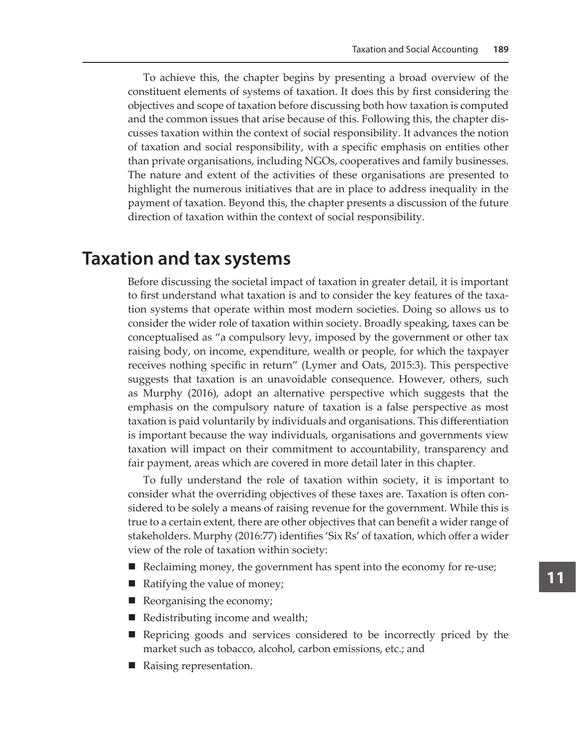To achieve this, the chapter begins by presenting a broad overview of the constituent elements of systems of taxation. It does this by first considering the objectives and scope of taxation before discussing both how taxation is computed and the common issues that arise because of this. Following this, the chapter discusses taxation within the context of social responsibility. It advances the notion of taxation and social responsibility, with a specific emphasis on entities other than private organisations, including NGOs, cooperatives and family businesses. The nature and extent of the activities of these organisations are presented to highlight the numerous initiatives that are in place to address inequality in the payment of taxation. Beyond this, the chapter presents a discussion of the future direction of taxation within the context of social responsibility.

## **Taxation and tax systems**

Before discussing the societal impact of taxation in greater detail, it is important to first understand what taxation is and to consider the key features of the taxation systems that operate within most modern societies. Doing so allows us to consider the wider role of taxation within society. Broadly speaking, taxes can be conceptualised as "a compulsory levy, imposed by the government or other tax raising body, on income, expenditure, wealth or people, for which the taxpayer receives nothing specific in return" (Lymer and Oats, 2015:3). This perspective suggests that taxation is an unavoidable consequence. However, others, such as Murphy (2016), adopt an alternative perspective which suggests that the emphasis on the compulsory nature of taxation is a false perspective as most taxation is paid voluntarily by individuals and organisations. This differentiation is important because the way individuals, organisations and governments view taxation will impact on their commitment to accountability, transparency and fair payment, areas which are covered in more detail later in this chapter.

To fully understand the role of taxation within society, it is important to consider what the overriding objectives of these taxes are. Taxation is often considered to be solely a means of raising revenue for the government. While this is true to a certain extent, there are other objectives that can benefit a wider range of stakeholders. Murphy (2016:77) identifies 'Six Rs' of taxation, which offer a wider view of the role of taxation within society:

- Reclaiming money, the government has spent into the economy for re-use;
- Ratifying the value of money;
- Reorganising the economy;
- Redistributing income and wealth;
- Repricing goods and services considered to be incorrectly priced by the market such as tobacco, alcohol, carbon emissions, etc.; and
- Raising representation.